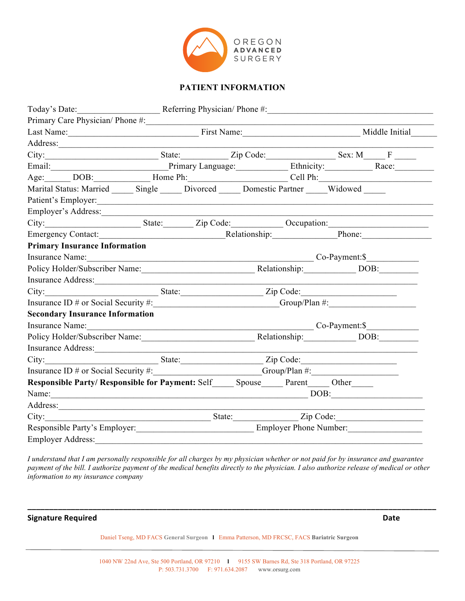

## **PATIENT INFORMATION**

| Today's Date: Referring Physician/ Phone #: 1992 Mate 2014                                                                                                                                                                    |  |                           |  |  |  |
|-------------------------------------------------------------------------------------------------------------------------------------------------------------------------------------------------------------------------------|--|---------------------------|--|--|--|
| Primary Care Physician/ Phone #:                                                                                                                                                                                              |  |                           |  |  |  |
|                                                                                                                                                                                                                               |  | Last Name: Middle Initial |  |  |  |
| Address.                                                                                                                                                                                                                      |  |                           |  |  |  |
| City: State: Zip Code: State: State: Zip Code: Sex: M F                                                                                                                                                                       |  |                           |  |  |  |
| Email: Primary Language: Ethnicity: Race: Race:                                                                                                                                                                               |  |                           |  |  |  |
| Age: DOB: Home Ph: Cell Ph: Cell Ph:                                                                                                                                                                                          |  |                           |  |  |  |
| Marital Status: Married _______ Single ______ Divorced ______ Domestic Partner ______ Widowed ____                                                                                                                            |  |                           |  |  |  |
|                                                                                                                                                                                                                               |  |                           |  |  |  |
|                                                                                                                                                                                                                               |  |                           |  |  |  |
| City: State: Zip Code: Occupation: City:                                                                                                                                                                                      |  |                           |  |  |  |
|                                                                                                                                                                                                                               |  |                           |  |  |  |
| <b>Primary Insurance Information</b>                                                                                                                                                                                          |  |                           |  |  |  |
| Insurance Name: Co-Payment: \$                                                                                                                                                                                                |  |                           |  |  |  |
| Policy Holder/Subscriber Name: Relationship: DOB: DOB:                                                                                                                                                                        |  |                           |  |  |  |
| Insurance Address: 1988 and 1988 and 1988 and 1988 and 1988 and 1988 and 1988 and 1988 and 1988 and 1988 and 1988 and 1988 and 1988 and 1988 and 1988 and 1988 and 1988 and 1988 and 1988 and 1988 and 1988 and 1988 and 1988 |  |                           |  |  |  |
|                                                                                                                                                                                                                               |  |                           |  |  |  |
| Insurance ID # or Social Security #: _______________________________Group/Plan #: __________________                                                                                                                          |  |                           |  |  |  |
| <b>Secondary Insurance Information</b>                                                                                                                                                                                        |  |                           |  |  |  |
| Insurance Name: Co-Payment: \$                                                                                                                                                                                                |  |                           |  |  |  |
| Policy Holder/Subscriber Name: Relationship: DOB: DOB:                                                                                                                                                                        |  |                           |  |  |  |
| Insurance Address: 1988 and 1988 and 1988 and 1988 and 1988 and 1988 and 1988 and 1988 and 1988 and 1988 and 1988 and 1988 and 1988 and 1988 and 1988 and 1988 and 1988 and 1988 and 1988 and 1988 and 1988 and 1988 and 1988 |  |                           |  |  |  |
|                                                                                                                                                                                                                               |  |                           |  |  |  |
| Insurance ID # or Social Security #: Group/Plan #: Group/Plan #:                                                                                                                                                              |  |                           |  |  |  |
| Responsible Party/ Responsible for Payment: Self______ Spouse______ Parent______ Other______                                                                                                                                  |  |                           |  |  |  |
|                                                                                                                                                                                                                               |  |                           |  |  |  |
|                                                                                                                                                                                                                               |  |                           |  |  |  |
|                                                                                                                                                                                                                               |  |                           |  |  |  |
| Responsible Party's Employer:<br><u>Employer Phone Number:</u>                                                                                                                                                                |  |                           |  |  |  |
| <b>Employer Address:</b>                                                                                                                                                                                                      |  |                           |  |  |  |

*I understand that I am personally responsible for all charges by my physician whether or not paid for by insurance and guarantee payment of the bill. I authorize payment of the medical benefits directly to the physician. I also authorize release of medical or other information to my insurance company*

**Signature Required Date** 

Daniel Tseng, MD FACS **General Surgeon l** Emma Patterson, MD FRCSC, FACS **Bariatric Surgeon**

**\_\_\_\_\_\_\_\_\_\_\_\_\_\_\_\_\_\_\_\_\_\_\_\_\_\_\_\_\_\_\_\_\_\_\_\_\_\_\_\_\_\_\_\_\_\_\_\_\_\_\_\_\_\_\_\_\_\_\_\_\_\_\_\_\_\_\_\_\_\_\_\_\_\_\_\_\_\_\_\_\_\_\_\_\_\_\_\_\_\_\_\_\_\_**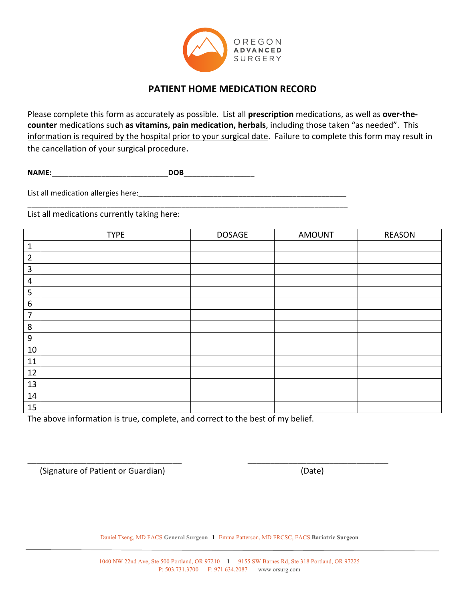

## **PATIENT HOME MEDICATION RECORD**

Please complete this form as accurately as possible. List all **prescription** medications, as well as **over-thecounter** medications such as vitamins, pain medication, herbals, including those taken "as needed". This information is required by the hospital prior to your surgical date. Failure to complete this form may result in the cancellation of your surgical procedure.

**NAME:**\_\_\_\_\_\_\_\_\_\_\_\_\_\_\_\_\_\_\_\_\_\_\_\_\_\_\_\_**DOB**\_\_\_\_\_\_\_\_\_\_\_\_\_\_\_\_\_

List all medication allergies here:\_\_\_\_\_\_\_\_\_\_\_\_\_\_\_\_\_\_\_\_\_\_\_\_\_\_\_\_\_\_\_\_\_\_\_\_\_\_\_\_\_\_\_\_\_\_\_\_\_\_ \_\_\_\_\_\_\_\_\_\_\_\_\_\_\_\_\_\_\_\_\_\_\_\_\_\_\_\_\_\_\_\_\_\_\_\_\_\_\_\_\_\_\_\_\_\_\_\_\_\_\_\_\_\_\_\_\_\_\_\_\_\_\_\_\_\_\_\_\_\_\_\_\_\_\_\_\_

List all medications currently taking here:

|                | <b>TYPE</b> | <b>DOSAGE</b> | <b>AMOUNT</b> | <b>REASON</b> |
|----------------|-------------|---------------|---------------|---------------|
| $\mathbf{1}$   |             |               |               |               |
| $\overline{2}$ |             |               |               |               |
| $\mathbf{3}$   |             |               |               |               |
| $\overline{a}$ |             |               |               |               |
| 5              |             |               |               |               |
| 6              |             |               |               |               |
| $\overline{7}$ |             |               |               |               |
| 8              |             |               |               |               |
| 9              |             |               |               |               |
| 10             |             |               |               |               |
| $11\,$         |             |               |               |               |
| 12             |             |               |               |               |
| 13             |             |               |               |               |
| 14             |             |               |               |               |
| 15             |             |               |               |               |

The above information is true, complete, and correct to the best of my belief.

(Signature of Patient or Guardian) (Date)

Daniel Tseng, MD FACS **General Surgeon l** Emma Patterson, MD FRCSC, FACS **Bariatric Surgeon**

\_\_\_\_\_\_\_\_\_\_\_\_\_\_\_\_\_\_\_\_\_\_\_\_\_\_\_\_\_\_\_\_\_\_ \_\_\_\_\_\_\_\_\_\_\_\_\_\_\_\_\_\_\_\_\_\_\_\_\_\_\_\_\_\_\_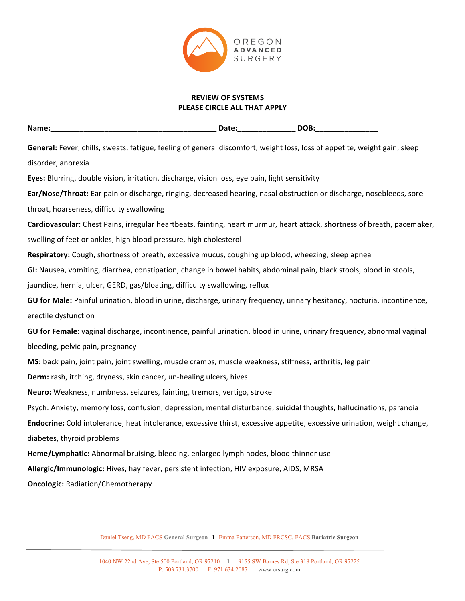

### **REVIEW OF SYSTEMS PLEASE CIRCLE ALL THAT APPLY**

| _____ | Name. | . .<br>______ | $\sim$<br>$\overline{\phantom{0}}$<br>- - |
|-------|-------|---------------|-------------------------------------------|
|-------|-------|---------------|-------------------------------------------|

**General:** Fever, chills, sweats, fatigue, feeling of general discomfort, weight loss, loss of appetite, weight gain, sleep disorder, anorexia

**Eyes:** Blurring, double vision, irritation, discharge, vision loss, eye pain, light sensitivity

**Ear/Nose/Throat:** Ear pain or discharge, ringing, decreased hearing, nasal obstruction or discharge, nosebleeds, sore throat, hoarseness, difficulty swallowing

Cardiovascular: Chest Pains, irregular heartbeats, fainting, heart murmur, heart attack, shortness of breath, pacemaker, swelling of feet or ankles, high blood pressure, high cholesterol

Respiratory: Cough, shortness of breath, excessive mucus, coughing up blood, wheezing, sleep apnea

**GI:** Nausea, vomiting, diarrhea, constipation, change in bowel habits, abdominal pain, black stools, blood in stools,

jaundice, hernia, ulcer, GERD, gas/bloating, difficulty swallowing, reflux

GU for Male: Painful urination, blood in urine, discharge, urinary frequency, urinary hesitancy, nocturia, incontinence, erectile dysfunction

GU for Female: vaginal discharge, incontinence, painful urination, blood in urine, urinary frequency, abnormal vaginal bleeding, pelvic pain, pregnancy

**MS:** back pain, joint pain, joint swelling, muscle cramps, muscle weakness, stiffness, arthritis, leg pain

**Derm:** rash, itching, dryness, skin cancer, un-healing ulcers, hives

Neuro: Weakness, numbness, seizures, fainting, tremors, vertigo, stroke

Psych: Anxiety, memory loss, confusion, depression, mental disturbance, suicidal thoughts, hallucinations, paranoia

**Endocrine:** Cold intolerance, heat intolerance, excessive thirst, excessive appetite, excessive urination, weight change, diabetes, thyroid problems

Heme/Lymphatic: Abnormal bruising, bleeding, enlarged lymph nodes, blood thinner use

**Allergic/Immunologic:** Hives, hay fever, persistent infection, HIV exposure, AIDS, MRSA

**Oncologic: Radiation/Chemotherapy**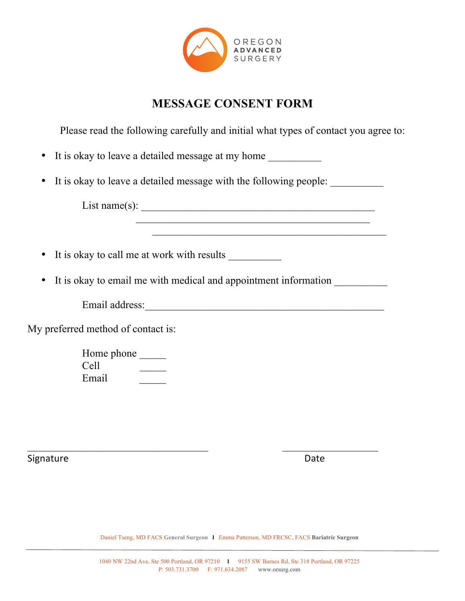

# **MESSAGE CONSENT FORM**

Please read the following carefully and initial what types of contact you agree to:

\_\_\_\_\_\_\_\_\_\_\_\_\_\_\_\_\_\_\_\_\_\_\_\_\_\_\_\_\_\_\_\_\_\_\_\_\_\_\_\_\_\_\_\_

|  |  | • It is okay to leave a detailed message at my home |  |  |
|--|--|-----------------------------------------------------|--|--|
|--|--|-----------------------------------------------------|--|--|

• It is okay to leave a detailed message with the following people:

 $\mathcal{L}_\mathcal{L} = \mathcal{L}_\mathcal{L} = \mathcal{L}_\mathcal{L} = \mathcal{L}_\mathcal{L} = \mathcal{L}_\mathcal{L} = \mathcal{L}_\mathcal{L} = \mathcal{L}_\mathcal{L} = \mathcal{L}_\mathcal{L} = \mathcal{L}_\mathcal{L} = \mathcal{L}_\mathcal{L} = \mathcal{L}_\mathcal{L} = \mathcal{L}_\mathcal{L} = \mathcal{L}_\mathcal{L} = \mathcal{L}_\mathcal{L} = \mathcal{L}_\mathcal{L} = \mathcal{L}_\mathcal{L} = \mathcal{L}_\mathcal{L}$ 

List name(s):  $\overline{\phantom{a}}$ 

- It is okay to call me at work with results
- It is okay to email me with medical and appointment information

Email address:\_\_\_\_\_\_\_\_\_\_\_\_\_\_\_\_\_\_\_\_\_\_\_\_\_\_\_\_\_\_\_\_\_\_\_\_\_\_\_\_\_\_\_\_\_

My preferred method of contact is:

Home phone \_\_\_\_\_\_\_ Cell \_\_\_\_\_ Email

Signature **Date Contract Contract Contract Contract Contract Contract Contract Contract Contract Contract Contract Contract Contract Contract Contract Contract Contract Contract Contract Contract Contract Contract Contra**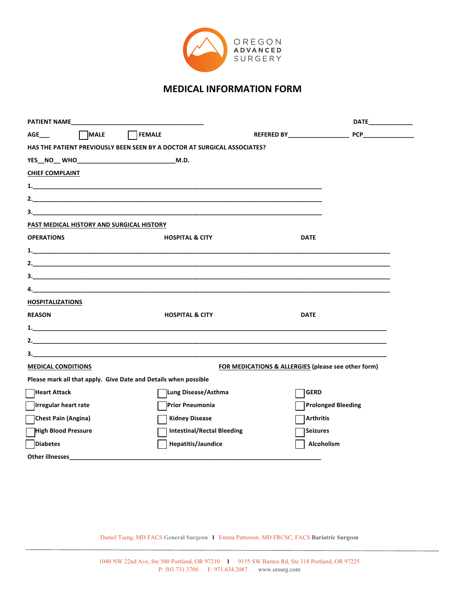

# **MEDICAL INFORMATION FORM**

| <b>PATIENT NAME</b>                                             |                                                                                 |                                                     | DATE______________ |
|-----------------------------------------------------------------|---------------------------------------------------------------------------------|-----------------------------------------------------|--------------------|
| MALE<br><b>AGE</b>                                              | <b>FEMALE</b>                                                                   | REFERED BY____________________                      |                    |
|                                                                 | <b>HAS THE PATIENT PREVIOUSLY BEEN SEEN BY A DOCTOR AT SURGICAL ASSOCIATES?</b> |                                                     |                    |
|                                                                 |                                                                                 |                                                     |                    |
| <b>CHIEF COMPLAINT</b>                                          |                                                                                 |                                                     |                    |
|                                                                 |                                                                                 |                                                     |                    |
|                                                                 |                                                                                 |                                                     |                    |
|                                                                 | $\overline{\mathbf{3.}}$                                                        |                                                     |                    |
| PAST MEDICAL HISTORY AND SURGICAL HISTORY                       |                                                                                 |                                                     |                    |
| <b>OPERATIONS</b>                                               | <b>HOSPITAL &amp; CITY</b>                                                      | <b>DATE</b>                                         |                    |
|                                                                 |                                                                                 |                                                     |                    |
|                                                                 |                                                                                 |                                                     |                    |
|                                                                 |                                                                                 |                                                     |                    |
|                                                                 |                                                                                 |                                                     |                    |
| <b>HOSPITALIZATIONS</b>                                         |                                                                                 |                                                     |                    |
| <b>REASON</b>                                                   | <b>HOSPITAL &amp; CITY</b>                                                      | <b>DATE</b>                                         |                    |
|                                                                 |                                                                                 |                                                     |                    |
|                                                                 |                                                                                 |                                                     |                    |
|                                                                 |                                                                                 |                                                     |                    |
| <b>MEDICAL CONDITIONS</b>                                       |                                                                                 | FOR MEDICATIONS & ALLERGIES (please see other form) |                    |
| Please mark all that apply. Give Date and Details when possible |                                                                                 |                                                     |                    |
| <b>Heart Attack</b>                                             | Lung Disease/Asthma                                                             | <b>GERD</b>                                         |                    |
| Irregular heart rate                                            | Prior Pneumonia                                                                 | <b>Prolonged Bleeding</b>                           |                    |
| Chest Pain (Angina)                                             | <b>Kidney Disease</b>                                                           | <b>Arthritis</b>                                    |                    |
| High Blood Pressure                                             | <b>Intestinal/Rectal Bleeding</b>                                               | <b>Seizures</b>                                     |                    |
| <b>Diabetes</b>                                                 | Hepatitis/Jaundice                                                              | Alcoholism                                          |                    |
| <b>Other illnesses</b>                                          |                                                                                 |                                                     |                    |